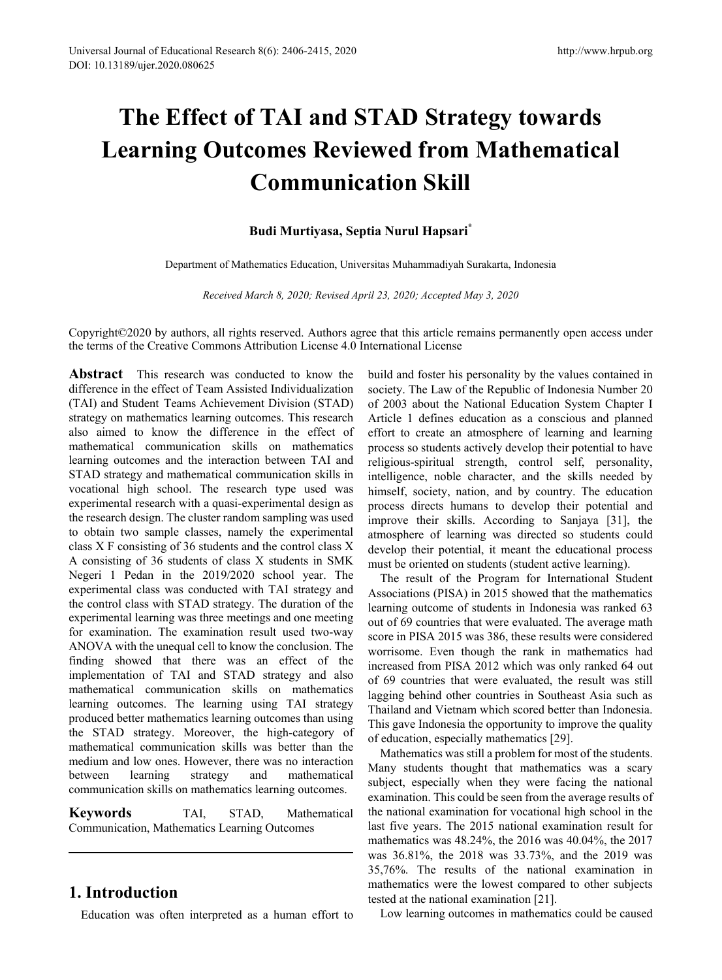# **The Effect of TAI and STAD Strategy towards Learning Outcomes Reviewed from Mathematical Communication Skill**

### **Budi Murtiyasa, Septia Nurul Hapsari\***

Department of Mathematics Education, Universitas Muhammadiyah Surakarta, Indonesia

*Received March 8, 2020; Revised April 23, 2020; Accepted May 3, 2020*

Copyright©2020 by authors, all rights reserved. Authors agree that this article remains permanently open access under the terms of the Creative Commons Attribution License 4.0 International License

**Abstract** This research was conducted to know the difference in the effect of Team Assisted Individualization (TAI) and Student Teams Achievement Division (STAD) strategy on mathematics learning outcomes. This research also aimed to know the difference in the effect of mathematical communication skills on mathematics learning outcomes and the interaction between TAI and STAD strategy and mathematical communication skills in vocational high school. The research type used was experimental research with a quasi-experimental design as the research design. The cluster random sampling was used to obtain two sample classes, namely the experimental class X F consisting of 36 students and the control class X A consisting of 36 students of class X students in SMK Negeri 1 Pedan in the 2019/2020 school year. The experimental class was conducted with TAI strategy and the control class with STAD strategy. The duration of the experimental learning was three meetings and one meeting for examination. The examination result used two-way ANOVA with the unequal cell to know the conclusion. The finding showed that there was an effect of the implementation of TAI and STAD strategy and also mathematical communication skills on mathematics learning outcomes. The learning using TAI strategy produced better mathematics learning outcomes than using the STAD strategy. Moreover, the high-category of mathematical communication skills was better than the medium and low ones. However, there was no interaction<br>between learning strategy and mathematical between learning strategy and mathematical communication skills on mathematics learning outcomes.

**Keywords** TAI, STAD, Mathematical Communication, Mathematics Learning Outcomes

# **1. Introduction**

Education was often interpreted as a human effort to

build and foster his personality by the values contained in society. The Law of the Republic of Indonesia Number 20 of 2003 about the National Education System Chapter I Article 1 defines education as a conscious and planned effort to create an atmosphere of learning and learning process so students actively develop their potential to have religious-spiritual strength, control self, personality, intelligence, noble character, and the skills needed by himself, society, nation, and by country. The education process directs humans to develop their potential and improve their skills. According to Sanjaya [31], the atmosphere of learning was directed so students could develop their potential, it meant the educational process must be oriented on students (student active learning).

The result of the Program for International Student Associations (PISA) in 2015 showed that the mathematics learning outcome of students in Indonesia was ranked 63 out of 69 countries that were evaluated. The average math score in PISA 2015 was 386, these results were considered worrisome. Even though the rank in mathematics had increased from PISA 2012 which was only ranked 64 out of 69 countries that were evaluated, the result was still lagging behind other countries in Southeast Asia such as Thailand and Vietnam which scored better than Indonesia. This gave Indonesia the opportunity to improve the quality of education, especially mathematics [29].

Mathematics was still a problem for most of the students. Many students thought that mathematics was a scary subject, especially when they were facing the national examination. This could be seen from the average results of the national examination for vocational high school in the last five years. The 2015 national examination result for mathematics was 48.24%, the 2016 was 40.04%, the 2017 was 36.81%, the 2018 was 33.73%, and the 2019 was 35,76%. The results of the national examination in mathematics were the lowest compared to other subjects tested at the national examination [21].

Low learning outcomes in mathematics could be caused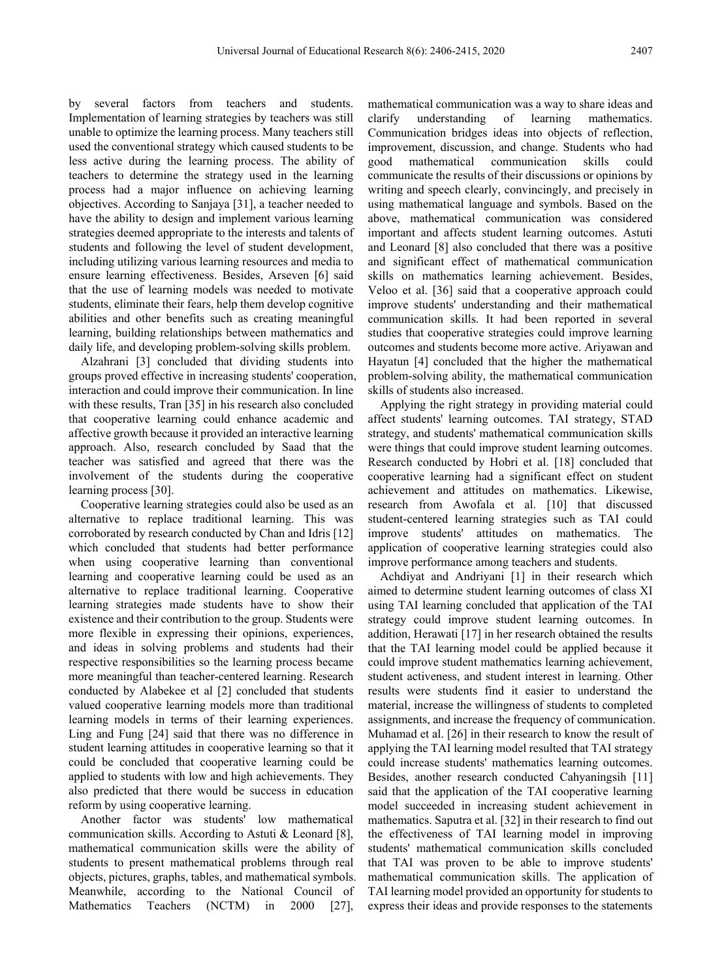by several factors from teachers and students. Implementation of learning strategies by teachers was still unable to optimize the learning process. Many teachers still used the conventional strategy which caused students to be less active during the learning process. The ability of teachers to determine the strategy used in the learning process had a major influence on achieving learning objectives. According to Sanjaya [31], a teacher needed to have the ability to design and implement various learning strategies deemed appropriate to the interests and talents of students and following the level of student development, including utilizing various learning resources and media to ensure learning effectiveness. Besides, Arseven [6] said that the use of learning models was needed to motivate students, eliminate their fears, help them develop cognitive abilities and other benefits such as creating meaningful learning, building relationships between mathematics and daily life, and developing problem-solving skills problem.

Alzahrani [3] concluded that dividing students into groups proved effective in increasing students' cooperation, interaction and could improve their communication. In line with these results, Tran [35] in his research also concluded that cooperative learning could enhance academic and affective growth because it provided an interactive learning approach. Also, research concluded by Saad that the teacher was satisfied and agreed that there was the involvement of the students during the cooperative learning process [30].

Cooperative learning strategies could also be used as an alternative to replace traditional learning. This was corroborated by research conducted by Chan and Idris [12] which concluded that students had better performance when using cooperative learning than conventional learning and cooperative learning could be used as an alternative to replace traditional learning. Cooperative learning strategies made students have to show their existence and their contribution to the group. Students were more flexible in expressing their opinions, experiences, and ideas in solving problems and students had their respective responsibilities so the learning process became more meaningful than teacher-centered learning. Research conducted by Alabekee et al [2] concluded that students valued cooperative learning models more than traditional learning models in terms of their learning experiences. Ling and Fung [24] said that there was no difference in student learning attitudes in cooperative learning so that it could be concluded that cooperative learning could be applied to students with low and high achievements. They also predicted that there would be success in education reform by using cooperative learning.

Another factor was students' low mathematical communication skills. According to Astuti & Leonard [8], mathematical communication skills were the ability of students to present mathematical problems through real objects, pictures, graphs, tables, and mathematical symbols. Meanwhile, according to the National Council of Mathematics Teachers (NCTM) in 2000 [27],

mathematical communication was a way to share ideas and clarify understanding of learning mathematics. understanding of learning mathematics. Communication bridges ideas into objects of reflection, improvement, discussion, and change. Students who had good mathematical communication skills could communicate the results of their discussions or opinions by writing and speech clearly, convincingly, and precisely in using mathematical language and symbols. Based on the above, mathematical communication was considered important and affects student learning outcomes. Astuti and Leonard [8] also concluded that there was a positive and significant effect of mathematical communication skills on mathematics learning achievement. Besides, Veloo et al. [36] said that a cooperative approach could improve students' understanding and their mathematical communication skills. It had been reported in several studies that cooperative strategies could improve learning outcomes and students become more active. Ariyawan and Hayatun [4] concluded that the higher the mathematical problem-solving ability, the mathematical communication skills of students also increased.

Applying the right strategy in providing material could affect students' learning outcomes. TAI strategy, STAD strategy, and students' mathematical communication skills were things that could improve student learning outcomes. Research conducted by Hobri et al. [18] concluded that cooperative learning had a significant effect on student achievement and attitudes on mathematics. Likewise, research from Awofala et al. [10] that discussed student-centered learning strategies such as TAI could improve students' attitudes on mathematics. The application of cooperative learning strategies could also improve performance among teachers and students.

Achdiyat and Andriyani [1] in their research which aimed to determine student learning outcomes of class XI using TAI learning concluded that application of the TAI strategy could improve student learning outcomes. In addition, Herawati [17] in her research obtained the results that the TAI learning model could be applied because it could improve student mathematics learning achievement, student activeness, and student interest in learning. Other results were students find it easier to understand the material, increase the willingness of students to completed assignments, and increase the frequency of communication. Muhamad et al. [26] in their research to know the result of applying the TAI learning model resulted that TAI strategy could increase students' mathematics learning outcomes. Besides, another research conducted Cahyaningsih [11] said that the application of the TAI cooperative learning model succeeded in increasing student achievement in mathematics. Saputra et al. [32] in their research to find out the effectiveness of TAI learning model in improving students' mathematical communication skills concluded that TAI was proven to be able to improve students' mathematical communication skills. The application of TAI learning model provided an opportunity for students to express their ideas and provide responses to the statements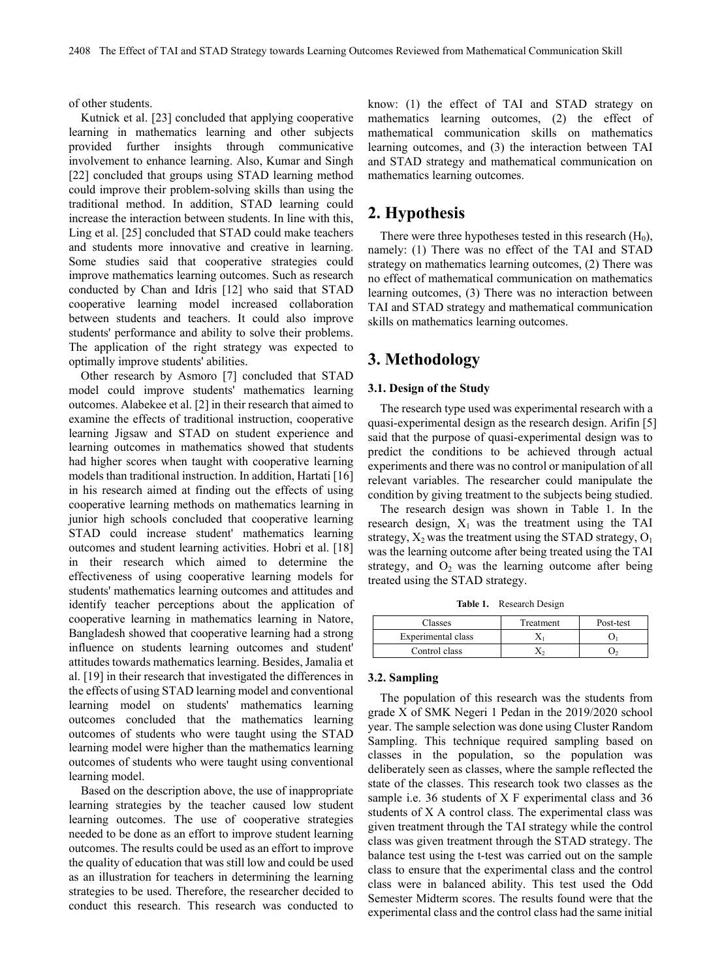of other students.

Kutnick et al. [23] concluded that applying cooperative learning in mathematics learning and other subjects provided further insights through communicative involvement to enhance learning. Also, Kumar and Singh [22] concluded that groups using STAD learning method could improve their problem-solving skills than using the traditional method. In addition, STAD learning could increase the interaction between students. In line with this, Ling et al. [25] concluded that STAD could make teachers and students more innovative and creative in learning. Some studies said that cooperative strategies could improve mathematics learning outcomes. Such as research conducted by Chan and Idris [12] who said that STAD cooperative learning model increased collaboration between students and teachers. It could also improve students' performance and ability to solve their problems. The application of the right strategy was expected to optimally improve students' abilities.

Other research by Asmoro [7] concluded that STAD model could improve students' mathematics learning outcomes. Alabekee et al. [2] in their research that aimed to examine the effects of traditional instruction, cooperative learning Jigsaw and STAD on student experience and learning outcomes in mathematics showed that students had higher scores when taught with cooperative learning models than traditional instruction. In addition, Hartati [16] in his research aimed at finding out the effects of using cooperative learning methods on mathematics learning in junior high schools concluded that cooperative learning STAD could increase student' mathematics learning outcomes and student learning activities. Hobri et al. [18] in their research which aimed to determine the effectiveness of using cooperative learning models for students' mathematics learning outcomes and attitudes and identify teacher perceptions about the application of cooperative learning in mathematics learning in Natore, Bangladesh showed that cooperative learning had a strong influence on students learning outcomes and student' attitudes towards mathematics learning. Besides, Jamalia et al. [19] in their research that investigated the differences in the effects of using STAD learning model and conventional learning model on students' mathematics learning outcomes concluded that the mathematics learning outcomes of students who were taught using the STAD learning model were higher than the mathematics learning outcomes of students who were taught using conventional learning model.

Based on the description above, the use of inappropriate learning strategies by the teacher caused low student learning outcomes. The use of cooperative strategies needed to be done as an effort to improve student learning outcomes. The results could be used as an effort to improve the quality of education that was still low and could be used as an illustration for teachers in determining the learning strategies to be used. Therefore, the researcher decided to conduct this research. This research was conducted to

know: (1) the effect of TAI and STAD strategy on mathematics learning outcomes, (2) the effect of mathematical communication skills on mathematics learning outcomes, and (3) the interaction between TAI and STAD strategy and mathematical communication on mathematics learning outcomes.

## **2. Hypothesis**

There were three hypotheses tested in this research  $(H_0)$ , namely: (1) There was no effect of the TAI and STAD strategy on mathematics learning outcomes, (2) There was no effect of mathematical communication on mathematics learning outcomes, (3) There was no interaction between TAI and STAD strategy and mathematical communication skills on mathematics learning outcomes.

# **3. Methodology**

#### **3.1. Design of the Study**

The research type used was experimental research with a quasi-experimental design as the research design. Arifin [5] said that the purpose of quasi-experimental design was to predict the conditions to be achieved through actual experiments and there was no control or manipulation of all relevant variables. The researcher could manipulate the condition by giving treatment to the subjects being studied.

The research design was shown in Table 1. In the research design,  $X_1$  was the treatment using the TAI strategy,  $X_2$  was the treatment using the STAD strategy,  $O_1$ was the learning outcome after being treated using the TAI strategy, and  $O_2$  was the learning outcome after being treated using the STAD strategy.

**Table 1.** Research Design

| Classes            | Treatment | Post-test |
|--------------------|-----------|-----------|
| Experimental class |           |           |
| Control class      |           |           |

#### **3.2. Sampling**

The population of this research was the students from grade X of SMK Negeri 1 Pedan in the 2019/2020 school year. The sample selection was done using Cluster Random Sampling. This technique required sampling based on classes in the population, so the population was deliberately seen as classes, where the sample reflected the state of the classes. This research took two classes as the sample i.e. 36 students of X F experimental class and 36 students of X A control class. The experimental class was given treatment through the TAI strategy while the control class was given treatment through the STAD strategy. The balance test using the t-test was carried out on the sample class to ensure that the experimental class and the control class were in balanced ability. This test used the Odd Semester Midterm scores. The results found were that the experimental class and the control class had the same initial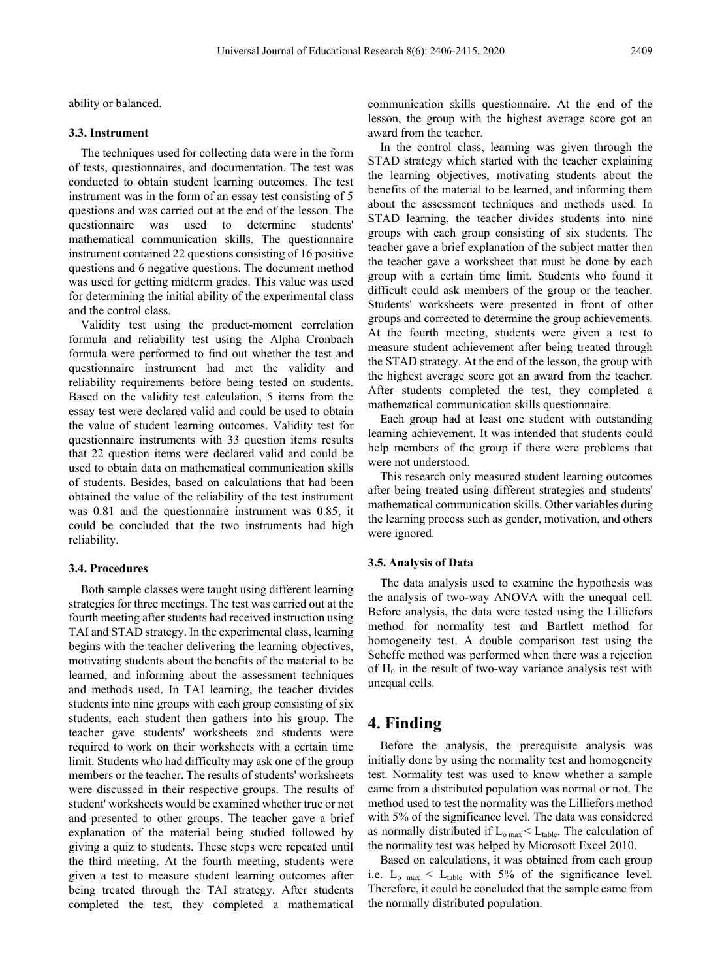ability or balanced.

#### **3.3. Instrument**

The techniques used for collecting data were in the form of tests, questionnaires, and documentation. The test was conducted to obtain student learning outcomes. The test instrument was in the form of an essay test consisting of 5 questions and was carried out at the end of the lesson. The questionnaire was used to determine students' mathematical communication skills. The questionnaire instrument contained 22 questions consisting of 16 positive questions and 6 negative questions. The document method was used for getting midterm grades. This value was used for determining the initial ability of the experimental class and the control class.

Validity test using the product-moment correlation formula and reliability test using the Alpha Cronbach formula were performed to find out whether the test and questionnaire instrument had met the validity and reliability requirements before being tested on students. Based on the validity test calculation, 5 items from the essay test were declared valid and could be used to obtain the value of student learning outcomes. Validity test for questionnaire instruments with 33 question items results that 22 question items were declared valid and could be used to obtain data on mathematical communication skills of students. Besides, based on calculations that had been obtained the value of the reliability of the test instrument was 0.81 and the questionnaire instrument was 0.85, it could be concluded that the two instruments had high reliability.

#### **3.4. Procedures**

Both sample classes were taught using different learning strategies for three meetings. The test was carried out at the fourth meeting after students had received instruction using TAI and STAD strategy. In the experimental class, learning begins with the teacher delivering the learning objectives, motivating students about the benefits of the material to be learned, and informing about the assessment techniques and methods used. In TAI learning, the teacher divides students into nine groups with each group consisting of six students, each student then gathers into his group. The teacher gave students' worksheets and students were required to work on their worksheets with a certain time limit. Students who had difficulty may ask one of the group members or the teacher. The results of students' worksheets were discussed in their respective groups. The results of student' worksheets would be examined whether true or not and presented to other groups. The teacher gave a brief explanation of the material being studied followed by giving a quiz to students. These steps were repeated until the third meeting. At the fourth meeting, students were given a test to measure student learning outcomes after being treated through the TAI strategy. After students completed the test, they completed a mathematical

communication skills questionnaire. At the end of the lesson, the group with the highest average score got an award from the teacher.

In the control class, learning was given through the STAD strategy which started with the teacher explaining the learning objectives, motivating students about the benefits of the material to be learned, and informing them about the assessment techniques and methods used. In STAD learning, the teacher divides students into nine groups with each group consisting of six students. The teacher gave a brief explanation of the subject matter then the teacher gave a worksheet that must be done by each group with a certain time limit. Students who found it difficult could ask members of the group or the teacher. Students' worksheets were presented in front of other groups and corrected to determine the group achievements. At the fourth meeting, students were given a test to measure student achievement after being treated through the STAD strategy. At the end of the lesson, the group with the highest average score got an award from the teacher. After students completed the test, they completed a mathematical communication skills questionnaire.

Each group had at least one student with outstanding learning achievement. It was intended that students could help members of the group if there were problems that were not understood.

This research only measured student learning outcomes after being treated using different strategies and students' mathematical communication skills. Other variables during the learning process such as gender, motivation, and others were ignored.

#### **3.5. Analysis of Data**

The data analysis used to examine the hypothesis was the analysis of two-way ANOVA with the unequal cell. Before analysis, the data were tested using the Lilliefors method for normality test and Bartlett method for homogeneity test. A double comparison test using the Scheffe method was performed when there was a rejection of  $H_0$  in the result of two-way variance analysis test with unequal cells.

# **4. Finding**

Before the analysis, the prerequisite analysis was initially done by using the normality test and homogeneity test. Normality test was used to know whether a sample came from a distributed population was normal or not. The method used to test the normality was the Lilliefors method with 5% of the significance level. The data was considered as normally distributed if  $L_{o,max} < L_{table}$ . The calculation of the normality test was helped by Microsoft Excel 2010.

Based on calculations, it was obtained from each group i.e.  $L_{o \text{max}} < L_{table}$  with 5% of the significance level. Therefore, it could be concluded that the sample came from the normally distributed population.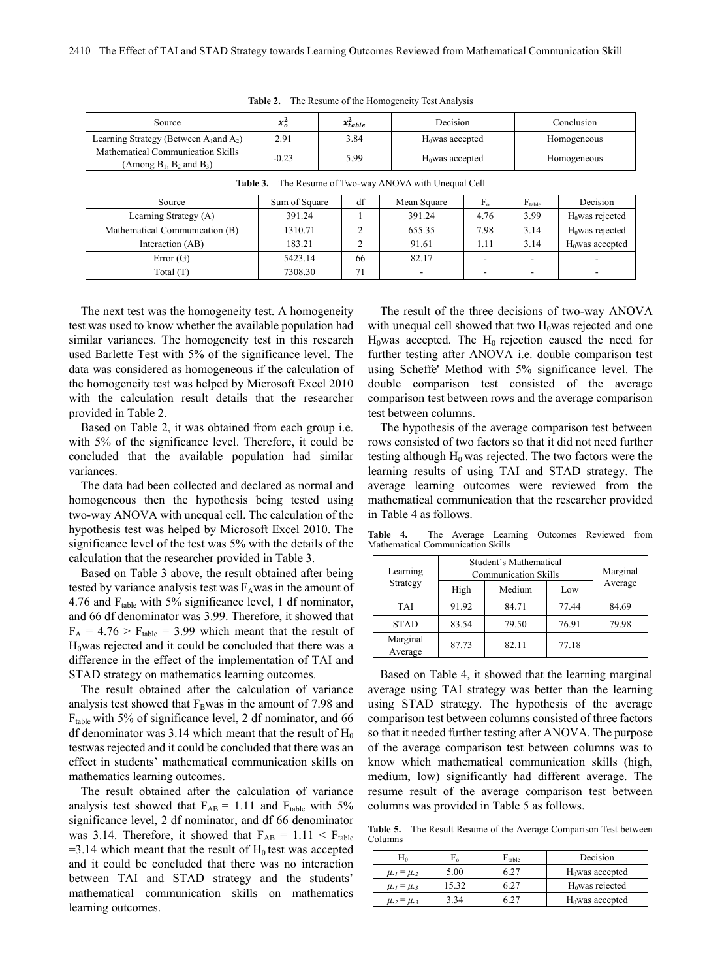| Source                                                                | $\mathbf{v}$<br>$\mathcal{L}_0$ | $x_{table}^2$ | Decision           | Conclusion  |
|-----------------------------------------------------------------------|---------------------------------|---------------|--------------------|-------------|
| Learning Strategy (Between $A_1$ and $A_2$ )                          | 2.91                            | 3.84          | $H_0$ was accepted | Homogeneous |
| Mathematical Communication Skills<br>(Among $B_1$ , $B_2$ and $B_3$ ) | $-0.23$                         | 5.99          | $H0$ was accepted  | Homogeneous |

|  | <b>Table 2.</b> The Resume of the Homogeneity Test Analysis |
|--|-------------------------------------------------------------|
|--|-------------------------------------------------------------|

| Source                         | Sum of Square | df | Mean Square | $F_{o}$                  | $F_{table}$              | Decision                 |
|--------------------------------|---------------|----|-------------|--------------------------|--------------------------|--------------------------|
| Learning Strategy (A)          | 391.24        |    | 391.24      | 4.76                     | 3.99                     | $H0$ was rejected        |
| Mathematical Communication (B) | 1310.71       |    | 655.35      | 7.98                     | 3.14                     | $H0$ was rejected        |
| Interaction (AB)               | 183.21        |    | 91.61       | 1.11                     | 3.14                     | $H0$ was accepted        |
| Error(G)                       | 5423.14       | 66 | 82.17       | $\overline{\phantom{a}}$ | $\overline{\phantom{a}}$ | $\overline{\phantom{a}}$ |
| Total (T)                      | 7308.30       |    | ۰           | ۰.                       | $\overline{\phantom{a}}$ | $\sim$                   |

**Table 3.** The Resume of Two-way ANOVA with Unequal Cell

The next test was the homogeneity test. A homogeneity test was used to know whether the available population had similar variances. The homogeneity test in this research used Barlette Test with 5% of the significance level. The data was considered as homogeneous if the calculation of the homogeneity test was helped by Microsoft Excel 2010 with the calculation result details that the researcher provided in Table 2.

Based on Table 2, it was obtained from each group i.e. with 5% of the significance level. Therefore, it could be concluded that the available population had similar variances.

The data had been collected and declared as normal and homogeneous then the hypothesis being tested using two-way ANOVA with unequal cell. The calculation of the hypothesis test was helped by Microsoft Excel 2010. The significance level of the test was 5% with the details of the calculation that the researcher provided in Table 3.

Based on Table 3 above, the result obtained after being tested by variance analysis test was  $F<sub>A</sub>$ was in the amount of 4.76 and  $F_{table}$  with 5% significance level, 1 df nominator, and 66 df denominator was 3.99. Therefore, it showed that  $F_A = 4.76 > F_{table} = 3.99$  which meant that the result of  $H<sub>0</sub>$ was rejected and it could be concluded that there was a difference in the effect of the implementation of TAI and STAD strategy on mathematics learning outcomes.

The result obtained after the calculation of variance analysis test showed that  $F_B$ was in the amount of 7.98 and  $F_{table}$  with 5% of significance level, 2 df nominator, and 66 df denominator was 3.14 which meant that the result of  $H_0$ testwas rejected and it could be concluded that there was an effect in students' mathematical communication skills on mathematics learning outcomes.

The result obtained after the calculation of variance analysis test showed that  $F_{AB} = 1.11$  and  $F_{table}$  with 5% significance level, 2 df nominator, and df 66 denominator was 3.14. Therefore, it showed that  $F_{AB} = 1.11 < F_{table}$  $=$ 3.14 which meant that the result of H<sub>0</sub> test was accepted and it could be concluded that there was no interaction between TAI and STAD strategy and the students' mathematical communication skills on mathematics learning outcomes.

The result of the three decisions of two-way ANOVA with unequal cell showed that two  $H_0$ was rejected and one  $H<sub>0</sub>$ was accepted. The  $H<sub>0</sub>$  rejection caused the need for further testing after ANOVA i.e. double comparison test using Scheffe' Method with 5% significance level. The double comparison test consisted of the average comparison test between rows and the average comparison test between columns.

The hypothesis of the average comparison test between rows consisted of two factors so that it did not need further testing although  $H_0$  was rejected. The two factors were the learning results of using TAI and STAD strategy. The average learning outcomes were reviewed from the mathematical communication that the researcher provided in Table 4 as follows.

**Table 4.** The Average Learning Outcomes Reviewed from Mathematical Communication Skills

| Learning            | Student's Mathematical<br><b>Communication Skills</b> |        |       | Marginal |  |
|---------------------|-------------------------------------------------------|--------|-------|----------|--|
| Strategy            | High                                                  | Medium | Low   | Average  |  |
| TAI                 | 91.92                                                 | 84.71  | 77.44 | 84.69    |  |
| <b>STAD</b>         | 83.54                                                 | 79.50  | 76.91 | 79.98    |  |
| Marginal<br>Average | 87.73                                                 | 82.11  | 77.18 |          |  |

Based on Table 4, it showed that the learning marginal average using TAI strategy was better than the learning using STAD strategy. The hypothesis of the average comparison test between columns consisted of three factors so that it needed further testing after ANOVA. The purpose of the average comparison test between columns was to know which mathematical communication skills (high, medium, low) significantly had different average. The resume result of the average comparison test between columns was provided in Table 5 as follows.

**Table 5.** The Result Resume of the Average Comparison Test between Columns

| $\rm{H}_{0}$          | ⊥റ    | $F_{table}$ | Decision          |
|-----------------------|-------|-------------|-------------------|
| $\mu_{1} = \mu_{2}$   | 5.00  | 6.27        | $H0$ was accepted |
| $\mu_{1} = \mu_{3}$   | 15.32 | 6.27        | $H0$ was rejected |
| $\mu_{.2} = \mu_{.3}$ | 3.34  | 6 27        | $H0$ was accepted |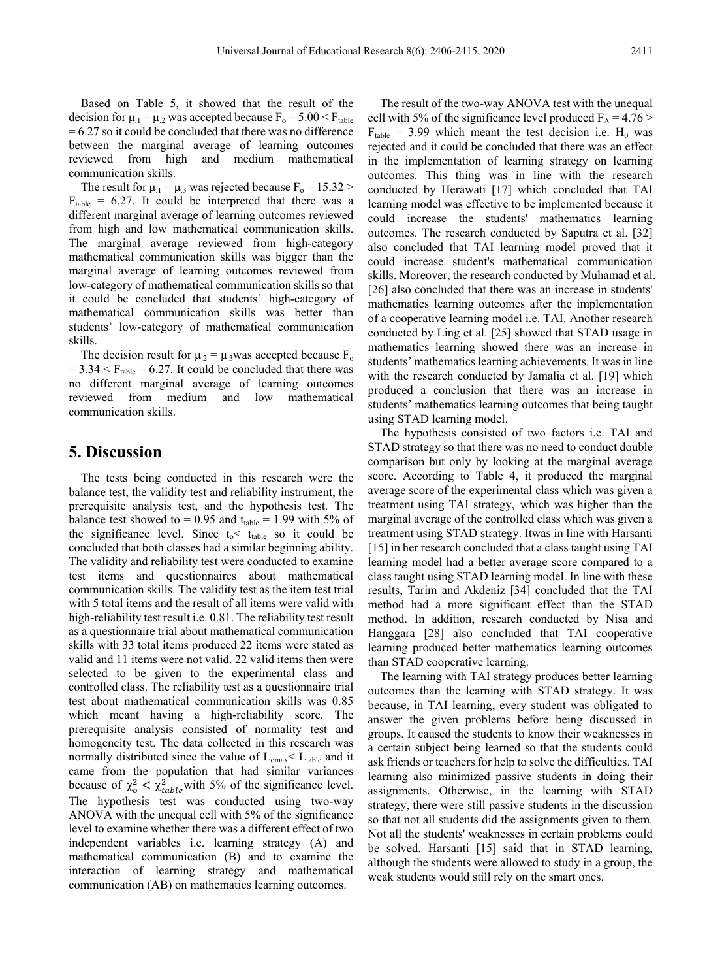Based on Table 5, it showed that the result of the decision for  $\mu_1 = \mu_2$  was accepted because  $F_0 = 5.00 \le F_{table}$  $= 6.27$  so it could be concluded that there was no difference between the marginal average of learning outcomes reviewed from high and medium mathematical communication skills.

The result for  $\mu_1 = \mu_3$  was rejected because  $F_0 = 15.32$  $F_{table} = 6.27$ . It could be interpreted that there was a different marginal average of learning outcomes reviewed from high and low mathematical communication skills. The marginal average reviewed from high-category mathematical communication skills was bigger than the marginal average of learning outcomes reviewed from low-category of mathematical communication skills so that it could be concluded that students' high-category of mathematical communication skills was better than students' low-category of mathematical communication skills.

The decision result for  $\mu_2 = \mu_3$  was accepted because  $F_0$  $= 3.34 < F_{table} = 6.27$ . It could be concluded that there was no different marginal average of learning outcomes reviewed from medium and low mathematical communication skills.

## **5. Discussion**

The tests being conducted in this research were the balance test, the validity test and reliability instrument, the prerequisite analysis test, and the hypothesis test. The balance test showed to = 0.95 and  $t_{table}$  = 1.99 with 5% of the significance level. Since  $t_0 < t_{table}$  so it could be concluded that both classes had a similar beginning ability. The validity and reliability test were conducted to examine test items and questionnaires about mathematical communication skills. The validity test as the item test trial with 5 total items and the result of all items were valid with high-reliability test result *i.e.* 0.81. The reliability test result as a questionnaire trial about mathematical communication skills with 33 total items produced 22 items were stated as valid and 11 items were not valid. 22 valid items then were selected to be given to the experimental class and controlled class. The reliability test as a questionnaire trial test about mathematical communication skills was 0.85 which meant having a high-reliability score. The prerequisite analysis consisted of normality test and homogeneity test. The data collected in this research was normally distributed since the value of  $L_{\text{omax}} < L_{\text{table}}$  and it came from the population that had similar variances because of  $\chi_o^2 < \chi_{table}^2$  with 5% of the significance level. The hypothesis test was conducted using two-way ANOVA with the unequal cell with 5% of the significance level to examine whether there was a different effect of two independent variables i.e. learning strategy (A) and mathematical communication (B) and to examine the interaction of learning strategy and mathematical communication (AB) on mathematics learning outcomes.

The result of the two-way ANOVA test with the unequal cell with 5% of the significance level produced  $F_A = 4.76$  $F_{table}$  = 3.99 which meant the test decision i.e. H<sub>0</sub> was rejected and it could be concluded that there was an effect in the implementation of learning strategy on learning outcomes. This thing was in line with the research conducted by Herawati [17] which concluded that TAI learning model was effective to be implemented because it could increase the students' mathematics learning outcomes. The research conducted by Saputra et al. [32] also concluded that TAI learning model proved that it could increase student's mathematical communication skills. Moreover, the research conducted by Muhamad et al. [26] also concluded that there was an increase in students' mathematics learning outcomes after the implementation of a cooperative learning model i.e. TAI. Another research conducted by Ling et al. [25] showed that STAD usage in mathematics learning showed there was an increase in students' mathematics learning achievements. It was in line with the research conducted by Jamalia et al. [19] which produced a conclusion that there was an increase in students' mathematics learning outcomes that being taught using STAD learning model.

The hypothesis consisted of two factors i.e. TAI and STAD strategy so that there was no need to conduct double comparison but only by looking at the marginal average score. According to Table 4, it produced the marginal average score of the experimental class which was given a treatment using TAI strategy, which was higher than the marginal average of the controlled class which was given a treatment using STAD strategy. Itwas in line with Harsanti [15] in her research concluded that a class taught using TAI learning model had a better average score compared to a class taught using STAD learning model. In line with these results, Tarim and Akdeniz [34] concluded that the TAI method had a more significant effect than the STAD method. In addition, research conducted by Nisa and Hanggara [28] also concluded that TAI cooperative learning produced better mathematics learning outcomes than STAD cooperative learning.

The learning with TAI strategy produces better learning outcomes than the learning with STAD strategy. It was because, in TAI learning, every student was obligated to answer the given problems before being discussed in groups. It caused the students to know their weaknesses in a certain subject being learned so that the students could ask friends or teachers for help to solve the difficulties. TAI learning also minimized passive students in doing their assignments. Otherwise, in the learning with STAD strategy, there were still passive students in the discussion so that not all students did the assignments given to them. Not all the students' weaknesses in certain problems could be solved. Harsanti [15] said that in STAD learning, although the students were allowed to study in a group, the weak students would still rely on the smart ones.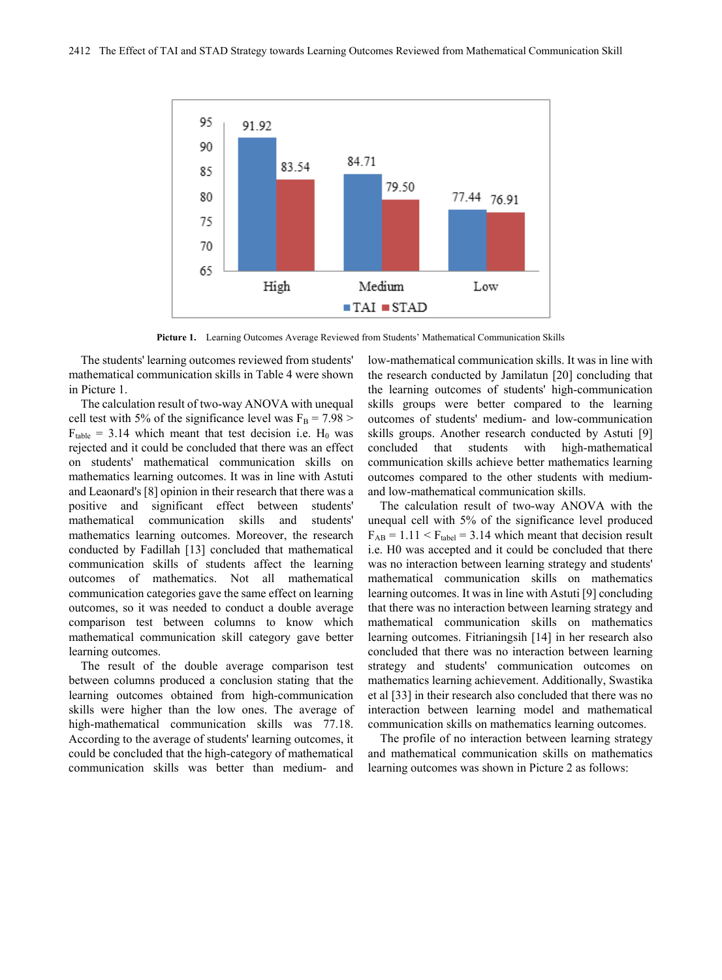

**Picture 1.** Learning Outcomes Average Reviewed from Students' Mathematical Communication Skills

The students' learning outcomes reviewed from students' mathematical communication skills in Table 4 were shown in Picture 1.

The calculation result of two-way ANOVA with unequal cell test with 5% of the significance level was  $F_B = 7.98 >$  $F_{table} = 3.14$  which meant that test decision i.e. H<sub>0</sub> was rejected and it could be concluded that there was an effect on students' mathematical communication skills on mathematics learning outcomes. It was in line with Astuti and Leaonard's [8] opinion in their research that there was a positive and significant effect between students' mathematical communication skills and students' mathematics learning outcomes. Moreover, the research conducted by Fadillah [13] concluded that mathematical communication skills of students affect the learning outcomes of mathematics. Not all mathematical communication categories gave the same effect on learning outcomes, so it was needed to conduct a double average comparison test between columns to know which mathematical communication skill category gave better learning outcomes.

The result of the double average comparison test between columns produced a conclusion stating that the learning outcomes obtained from high-communication skills were higher than the low ones. The average of high-mathematical communication skills was 77.18. According to the average of students' learning outcomes, it could be concluded that the high-category of mathematical communication skills was better than medium- and

low-mathematical communication skills. It was in line with the research conducted by Jamilatun [20] concluding that the learning outcomes of students' high-communication skills groups were better compared to the learning outcomes of students' medium- and low-communication skills groups. Another research conducted by Astuti [9] concluded that students with high-mathematical communication skills achieve better mathematics learning outcomes compared to the other students with mediumand low-mathematical communication skills.

The calculation result of two-way ANOVA with the unequal cell with 5% of the significance level produced  $F_{AB} = 1.11 < F_{table} = 3.14$  which meant that decision result i.e. H0 was accepted and it could be concluded that there was no interaction between learning strategy and students' mathematical communication skills on mathematics learning outcomes. It was in line with Astuti [9] concluding that there was no interaction between learning strategy and mathematical communication skills on mathematics learning outcomes. Fitrianingsih [14] in her research also concluded that there was no interaction between learning strategy and students' communication outcomes on mathematics learning achievement. Additionally, Swastika et al [33] in their research also concluded that there was no interaction between learning model and mathematical communication skills on mathematics learning outcomes.

The profile of no interaction between learning strategy and mathematical communication skills on mathematics learning outcomes was shown in Picture 2 as follows: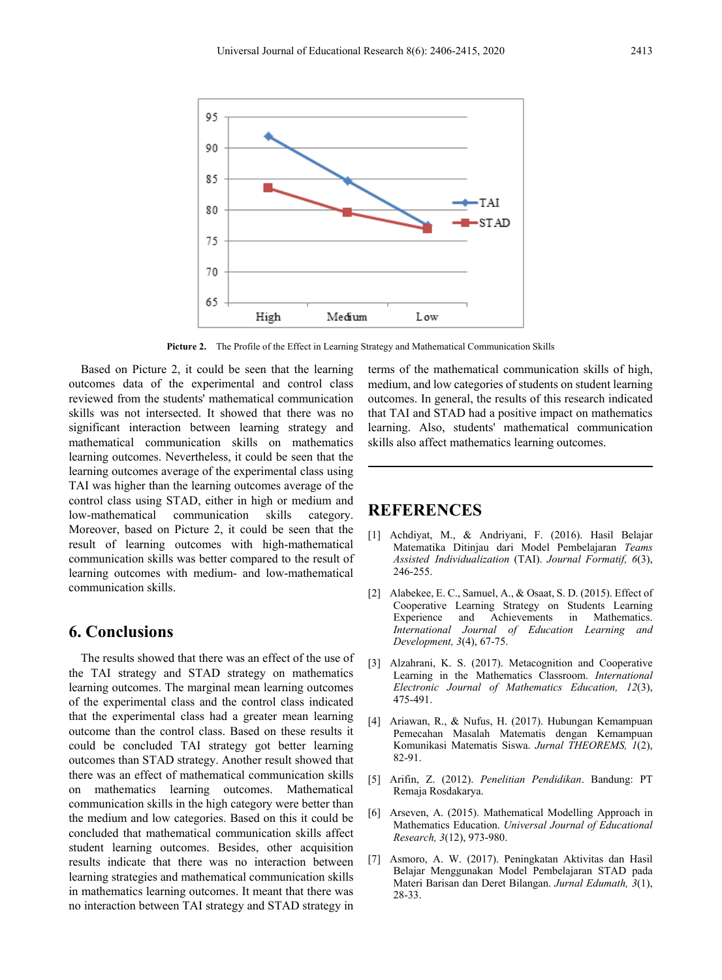

**Picture 2.** The Profile of the Effect in Learning Strategy and Mathematical Communication Skills

Based on Picture 2, it could be seen that the learning outcomes data of the experimental and control class reviewed from the students' mathematical communication skills was not intersected. It showed that there was no significant interaction between learning strategy and mathematical communication skills on mathematics learning outcomes. Nevertheless, it could be seen that the learning outcomes average of the experimental class using TAI was higher than the learning outcomes average of the control class using STAD, either in high or medium and low-mathematical communication skills category. Moreover, based on Picture 2, it could be seen that the result of learning outcomes with high-mathematical communication skills was better compared to the result of learning outcomes with medium- and low-mathematical communication skills.

# **6. Conclusions**

The results showed that there was an effect of the use of the TAI strategy and STAD strategy on mathematics learning outcomes. The marginal mean learning outcomes of the experimental class and the control class indicated that the experimental class had a greater mean learning outcome than the control class. Based on these results it could be concluded TAI strategy got better learning outcomes than STAD strategy. Another result showed that there was an effect of mathematical communication skills on mathematics learning outcomes. Mathematical communication skills in the high category were better than the medium and low categories. Based on this it could be concluded that mathematical communication skills affect student learning outcomes. Besides, other acquisition results indicate that there was no interaction between learning strategies and mathematical communication skills in mathematics learning outcomes. It meant that there was no interaction between TAI strategy and STAD strategy in

terms of the mathematical communication skills of high, medium, and low categories of students on student learning outcomes. In general, the results of this research indicated that TAI and STAD had a positive impact on mathematics learning. Also, students' mathematical communication skills also affect mathematics learning outcomes.

## **REFERENCES**

- [1] Achdiyat, M., & Andriyani, F. (2016). Hasil Belajar Matematika Ditinjau dari Model Pembelajaran *Teams Assisted Individualization* (TAI). *Journal Formatif, 6*(3), 246-255.
- [2] Alabekee, E. C., Samuel, A., & Osaat, S. D. (2015). Effect of Cooperative Learning Strategy on Students Learning Achievements in *International Journal of Education Learning and Development, 3*(4), 67-75.
- [3] Alzahrani, K. S. (2017). Metacognition and Cooperative Learning in the Mathematics Classroom. *International Electronic Journal of Mathematics Education, 12*(3), 475-491.
- [4] Ariawan, R., & Nufus, H. (2017). Hubungan Kemampuan Pemecahan Masalah Matematis dengan Kemampuan Komunikasi Matematis Siswa. *Jurnal THEOREMS, 1*(2), 82-91.
- [5] Arifin, Z. (2012). *Penelitian Pendidikan*. Bandung: PT Remaja Rosdakarya.
- [6] Arseven, A. (2015). Mathematical Modelling Approach in Mathematics Education. *Universal Journal of Educational Research, 3*(12), 973-980.
- [7] Asmoro, A. W. (2017). Peningkatan Aktivitas dan Hasil Belajar Menggunakan Model Pembelajaran STAD pada Materi Barisan dan Deret Bilangan. *Jurnal Edumath, 3*(1), 28-33.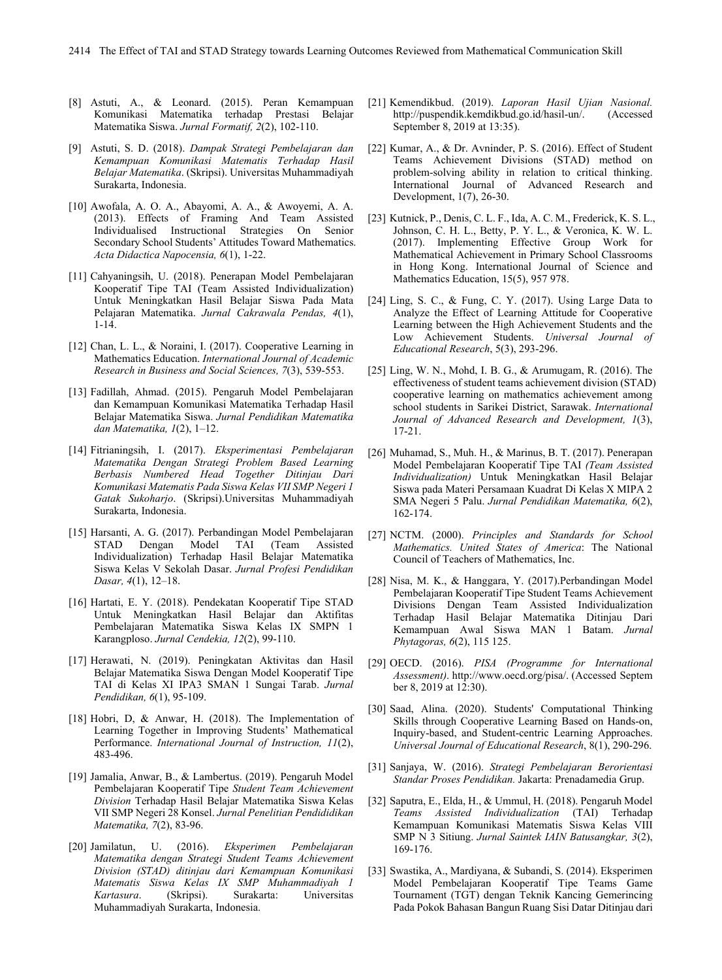- [8] Astuti, A., & Leonard. (2015). Peran Kemampuan Komunikasi Matematika terhadap Prestasi Belajar Matematika Siswa. *Jurnal Formatif, 2*(2), 102-110.
- [9] Astuti, S. D. (2018). *Dampak Strategi Pembelajaran dan Kemampuan Komunikasi Matematis Terhadap Hasil Belajar Matematika*. (Skripsi). Universitas Muhammadiyah Surakarta, Indonesia.
- [10] Awofala, A. O. A., Abayomi, A. A., & Awoyemi, A. A. (2013). Effects of Framing And Team Assisted Individualised Instructional Strategies On Senior Secondary School Students' Attitudes Toward Mathematics. *Acta Didactica Napocensia, 6*(1), 1-22.
- [11] Cahyaningsih, U. (2018). Penerapan Model Pembelajaran Kooperatif Tipe TAI (Team Assisted Individualization) Untuk Meningkatkan Hasil Belajar Siswa Pada Mata Pelajaran Matematika. *Jurnal Cakrawala Pendas, 4*(1), 1-14.
- [12] Chan, L. L., & Noraini, I. (2017). Cooperative Learning in Mathematics Education. *International Journal of Academic Research in Business and Social Sciences, 7*(3), 539-553.
- [13] Fadillah, Ahmad. (2015). Pengaruh Model Pembelajaran dan Kemampuan Komunikasi Matematika Terhadap Hasil Belajar Matematika Siswa. *Jurnal Pendidikan Matematika dan Matematika, 1*(2), 1–12.
- [14] Fitrianingsih, I. (2017). *Eksperimentasi Pembelajaran Matematika Dengan Strategi Problem Based Learning Berbasis Numbered Head Together Ditinjau Dari Komunikasi Matematis Pada Siswa Kelas VII SMP Negeri 1 Gatak Sukoharjo*. (Skripsi).Universitas Muhammadiyah Surakarta, Indonesia.
- [15] Harsanti, A. G. (2017). Perbandingan Model Pembelajaran STAD Dengan Individualization) Terhadap Hasil Belajar Matematika Siswa Kelas V Sekolah Dasar. *Jurnal Profesi Pendidikan Dasar, 4*(1), 12–18.
- [16] Hartati, E. Y. (2018). Pendekatan Kooperatif Tipe STAD Untuk Meningkatkan Hasil Belajar dan Aktifitas Pembelajaran Matematika Siswa Kelas IX SMPN 1 Karangploso. *Jurnal Cendekia, 12*(2), 99-110.
- [17] Herawati, N. (2019). Peningkatan Aktivitas dan Hasil Belajar Matematika Siswa Dengan Model Kooperatif Tipe TAI di Kelas XI IPA3 SMAN 1 Sungai Tarab. *Jurnal Pendidikan, 6*(1), 95-109.
- [18] Hobri, D, & Anwar, H. (2018). The Implementation of Learning Together in Improving Students' Mathematical Performance. *International Journal of Instruction, 11*(2), 483-496.
- [19] Jamalia, Anwar, B., & Lambertus. (2019). Pengaruh Model Pembelajaran Kooperatif Tipe *Student Team Achievement Division* Terhadap Hasil Belajar Matematika Siswa Kelas VII SMP Negeri 28 Konsel. *Jurnal Penelitian Pendididikan Matematika, 7*(2), 83-96.
- [20] Jamilatun, U. (2016). *Eksperimen Pembelajaran Matematika dengan Strategi Student Teams Achievement Division (STAD) ditinjau dari Kemampuan Komunikasi Matematis Siswa Kelas IX SMP Muhammadiyah 1 Kartasura*. (Skripsi). Surakarta: Universitas Muhammadiyah Surakarta, Indonesia.
- [21] Kemendikbud. (2019). *Laporan Hasil Ujian Nasional.* [http://puspendik.kemdikbud.go.id/hasil-un/.](http://puspendik.kemdikbud.go.id/hasil-un/) September 8, 2019 at 13:35).
- [22] Kumar, A., & Dr. Avninder, P. S. (2016). Effect of Student Teams Achievement Divisions (STAD) method on problem-solving ability in relation to critical thinking. International Journal of Advanced Research and Development, 1(7), 26-30.
- [23] Kutnick, P., Denis, C. L. F., Ida, A. C. M., Frederick, K. S. L., Johnson, C. H. L., Betty, P. Y. L., & Veronica, K. W. L. (2017). Implementing Effective Group Work for Mathematical Achievement in Primary School Classrooms in Hong Kong. International Journal of Science and Mathematics Education, 15(5), 957 978.
- [24] Ling, S. C., & Fung, C. Y. (2017). Using Large Data to Analyze the Effect of Learning Attitude for Cooperative Learning between the High Achievement Students and the Low Achievement Students. *Universal Journal of Educational Research*, 5(3), 293-296.
- [25] Ling, W. N., Mohd, I. B. G., & Arumugam, R. (2016). The effectiveness of student teams achievement division (STAD) cooperative learning on mathematics achievement among school students in Sarikei District, Sarawak. *International Journal of Advanced Research and Development, 1*(3), 17-21.
- [26] Muhamad, S., Muh. H., & Marinus, B. T. (2017). Penerapan Model Pembelajaran Kooperatif Tipe TAI *(Team Assisted Individualization)* Untuk Meningkatkan Hasil Belajar Siswa pada Materi Persamaan Kuadrat Di Kelas X MIPA 2 SMA Negeri 5 Palu. *Jurnal Pendidikan Matematika, 6*(2), 162-174.
- [27] NCTM. (2000). *Principles and Standards for School Mathematics. United States of America*: The National Council of Teachers of Mathematics, Inc.
- [28] Nisa, M. K., & Hanggara, Y. (2017).Perbandingan Model Pembelajaran Kooperatif Tipe Student Teams Achievement Divisions Dengan Team Assisted Individualization Terhadap Hasil Belajar Matematika Ditinjau Dari Kemampuan Awal Siswa MAN 1 Batam. *Jurnal Phytagoras, 6*(2), 115 125.
- [29] OECD. (2016). *PISA (Programme for International Assessment)*. [http://www.oecd.org/pisa/.](http://www.oecd.org/pisa/) (Accessed Septem ber 8, 2019 at 12:30).
- [30] Saad, Alina. (2020). Students' Computational Thinking Skills through Cooperative Learning Based on Hands-on, Inquiry-based, and Student-centric Learning Approaches. *Universal Journal of Educational Research*, 8(1), 290-296.
- [31] Sanjaya, W. (2016). *Strategi Pembelajaran Berorientasi Standar Proses Pendidikan.* Jakarta: Prenadamedia Grup.
- [32] Saputra, E., Elda, H., & Ummul, H. (2018). Pengaruh Model *Teams Assisted Individualization* (TAI) Terhadap Kemampuan Komunikasi Matematis Siswa Kelas VIII SMP N 3 Sitiung. *Jurnal Saintek IAIN Batusangkar, 3*(2), 169-176.
- [33] Swastika, A., Mardiyana, & Subandi, S. (2014). Eksperimen Model Pembelajaran Kooperatif Tipe Teams Game Tournament (TGT) dengan Teknik Kancing Gemerincing Pada Pokok Bahasan Bangun Ruang Sisi Datar Ditinjau dari